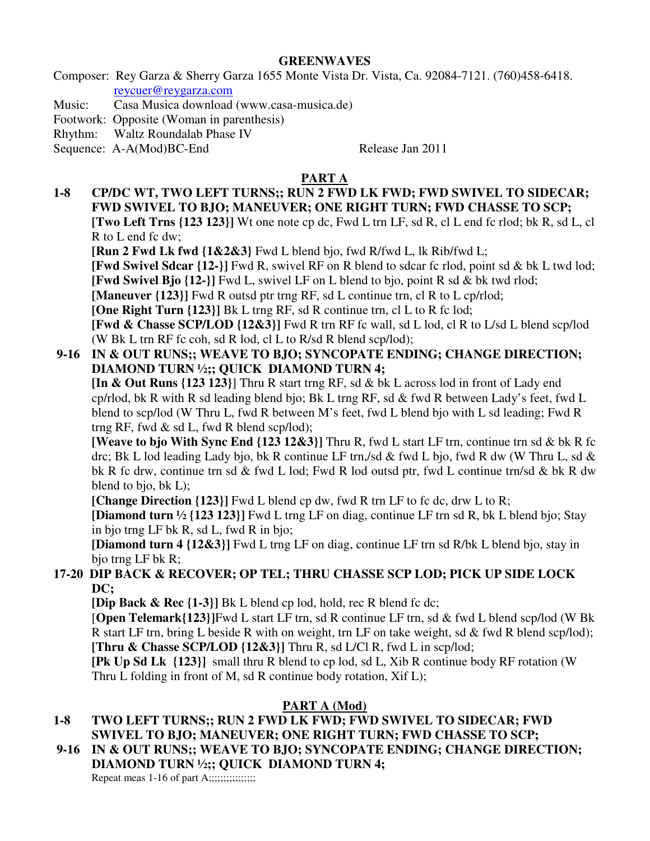#### **GREENWAVES**

Composer: Rey Garza & Sherry Garza 1655 Monte Vista Dr. Vista, Ca. 92084-7121. (760)458-6418. reycuer@reygarza.com

Music: Casa Musica download (www.casa-musica.de)

Footwork: Opposite (Woman in parenthesis)

Rhythm: Waltz Roundalab Phase IV

Sequence: A-A(Mod)BC-End Release Jan 2011

# **PART A**

**1-8 CP/DC WT, TWO LEFT TURNS;; RUN 2 FWD LK FWD; FWD SWIVEL TO SIDECAR; FWD SWIVEL TO BJO; MANEUVER; ONE RIGHT TURN; FWD CHASSE TO SCP; [Two Left Trns {123 123}]** Wt one note cp dc, Fwd L trn LF, sd R, cl L end fc rlod; bk R, sd L, cl R to L end fc dw;

**[Run 2 Fwd Lk fwd {1&2&3}** Fwd L blend bjo, fwd R/fwd L, lk Rib/fwd L;

**[Fwd Swivel Sdcar {12-}]** Fwd R, swivel RF on R blend to sdcar fc rlod, point sd & bk L twd lod; **[Fwd Swivel Bjo {12-}]** Fwd L, swivel LF on L blend to bjo, point R sd & bk twd rlod;

**[Maneuver {123}]** Fwd R outsd ptr trng RF, sd L continue trn, cl R to L cp/rlod;

**[One Right Turn {123}]** Bk L trng RF, sd R continue trn, cl L to R fc lod;

**[Fwd & Chasse SCP/LOD {12&3}]** Fwd R trn RF fc wall, sd L lod, cl R to L/sd L blend scp/lod (W Bk L trn RF fc coh, sd R lod, cl L to R/sd R blend scp/lod);

## **9-16 IN & OUT RUNS;; WEAVE TO BJO; SYNCOPATE ENDING; CHANGE DIRECTION; DIAMOND TURN ½;; QUICK DIAMOND TURN 4;**

**[In & Out Runs {123 123}**] Thru R start trng RF, sd & bk L across lod in front of Lady end cp/rlod, bk R with R sd leading blend bjo; Bk L trng RF, sd & fwd R between Lady's feet, fwd L blend to scp/lod (W Thru L, fwd R between M's feet, fwd L blend bjo with L sd leading; Fwd R trng RF, fwd  $\&$  sd L, fwd R blend scp/lod);

**[Weave to bjo With Sync End {123 12&3}]** Thru R, fwd L start LF trn, continue trn sd & bk R fc drc; Bk L lod leading Lady bjo, bk R continue LF trn,/sd & fwd L bjo, fwd R dw (W Thru L, sd & bk R fc drw, continue trn sd & fwd L lod; Fwd R lod outsd ptr, fwd L continue trn/sd & bk R dw blend to bjo, bk L);

**[Change Direction {123}]** Fwd L blend cp dw, fwd R trn LF to fc dc, drw L to R;

**[Diamond turn ½ {123 123}]** Fwd L trng LF on diag, continue LF trn sd R, bk L blend bjo; Stay in bjo trng LF bk R, sd L, fwd R in bjo;

**[Diamond turn 4 {12&3}]** Fwd L trng LF on diag, continue LF trn sd R/bk L blend bjo, stay in bjo trng LF bk R;

## **17-20 DIP BACK & RECOVER; OP TEL; THRU CHASSE SCP LOD; PICK UP SIDE LOCK DC;**

**[Dip Back & Rec {1-3}]** Bk L blend cp lod, hold, rec R blend fc dc;

[**Open Telemark{123}]**Fwd L start LF trn, sd R continue LF trn, sd & fwd L blend scp/lod (W Bk R start LF trn, bring L beside R with on weight, trn LF on take weight, sd & fwd R blend scp/lod); **[Thru & Chasse SCP/LOD {12&3}]** Thru R, sd L/Cl R, fwd L in scp/lod;

**[Pk Up Sd Lk {123}]** small thru R blend to cp lod, sd L, Xib R continue body RF rotation (W Thru L folding in front of M, sd R continue body rotation, Xif L);

# **PART A (Mod)**

#### **1-8 TWO LEFT TURNS;; RUN 2 FWD LK FWD; FWD SWIVEL TO SIDECAR; FWD SWIVEL TO BJO; MANEUVER; ONE RIGHT TURN; FWD CHASSE TO SCP;**

**9-16 IN & OUT RUNS;; WEAVE TO BJO; SYNCOPATE ENDING; CHANGE DIRECTION;** 

**DIAMOND TURN ½;; QUICK DIAMOND TURN 4;** 

Repeat meas  $1-16$  of part  $A$ ;;;;;;;;;;;;;;;;;;;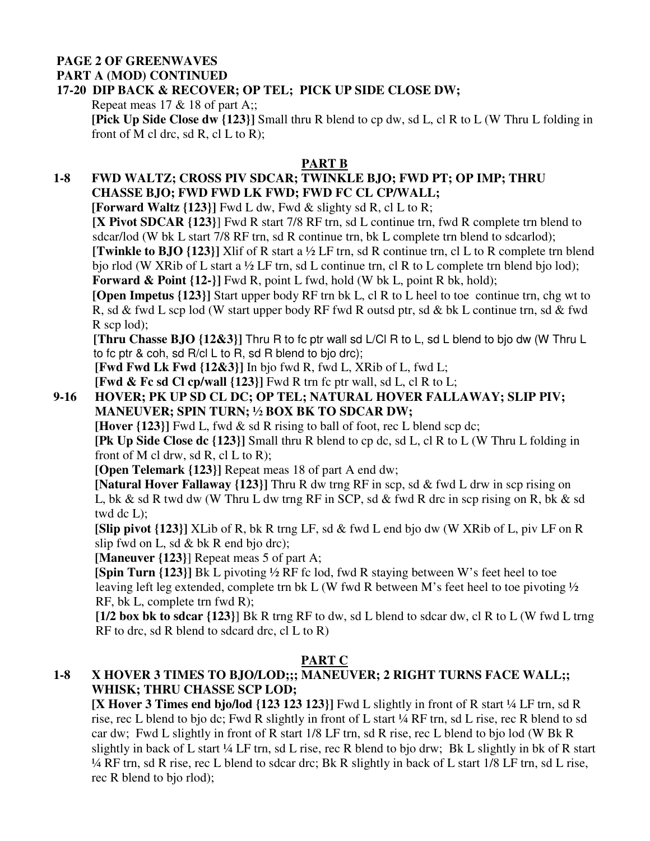#### **PAGE 2 OF GREENWAVES PART A (MOD) CONTINUED**

# **17-20 DIP BACK & RECOVER; OP TEL; PICK UP SIDE CLOSE DW;**

Repeat meas  $17 \& 18$  of part A;;

**[Pick Up Side Close dw {123}]** Small thru R blend to cp dw, sd L, cl R to L (W Thru L folding in front of M cl drc, sd R, cl L to R);

## **PART B**

# **1-8 FWD WALTZ; CROSS PIV SDCAR; TWINKLE BJO; FWD PT; OP IMP; THRU CHASSE BJO; FWD FWD LK FWD; FWD FC CL CP/WALL;**

**[Forward Waltz**  $\{123\}$ **] Fwd L dw, Fwd & slighty sd R, cl L to R;** 

 **[X Pivot SDCAR {123}**] Fwd R start 7/8 RF trn, sd L continue trn, fwd R complete trn blend to sdcar/lod (W bk L start 7/8 RF trn, sd R continue trn, bk L complete trn blend to sdcarlod);

 **[Twinkle to BJO {123}]** Xlif of R start a ½ LF trn, sd R continue trn, cl L to R complete trn blend bjo rlod (W XRib of L start a  $\frac{1}{2}$  LF trn, sd L continue trn, cl R to L complete trn blend bjo lod); **Forward & Point {12-}]** Fwd R, point L fwd, hold (W bk L, point R bk, hold);

**[Open Impetus {123}]** Start upper body RF trn bk L, cl R to L heel to toe continue trn, chg wt to R, sd & fwd L scp lod (W start upper body RF fwd R outsd ptr, sd & bk L continue trn, sd & fwd R scp lod);

 **[Thru Chasse BJO {12&3}]** Thru R to fc ptr wall sd L/Cl R to L, sd L blend to bjo dw (W Thru L to fc ptr & coh, sd R/cl L to R, sd R blend to bjo drc);

 **[Fwd Fwd Lk Fwd {12&3}]** In bjo fwd R, fwd L, XRib of L, fwd L;

**[Fwd & Fc sd Cl cp/wall**  $\{123\}$ **]** Fwd R trn fc ptr wall, sd L, cl R to L;

# **9-16 HOVER; PK UP SD CL DC; OP TEL; NATURAL HOVER FALLAWAY; SLIP PIV; MANEUVER; SPIN TURN; ½ BOX BK TO SDCAR DW;**

**[Hover**  $\{123\}$ **]** Fwd L, fwd & sd R rising to ball of foot, rec L blend scp dc;

**[Pk Up Side Close dc {123}]** Small thru R blend to cp dc, sd L, cl R to L (W Thru L folding in front of M cl drw, sd R, cl L to R);

**[Open Telemark {123}]** Repeat meas 18 of part A end dw;

 **[Natural Hover Fallaway {123}]** Thru R dw trng RF in scp, sd & fwd L drw in scp rising on L, bk & sd R twd dw (W Thru L dw trng RF in SCP, sd & fwd R drc in scp rising on R, bk & sd twd dc L);

 **[Slip pivot {123}]** XLib of R, bk R trng LF, sd & fwd L end bjo dw (W XRib of L, piv LF on R slip fwd on L, sd & bk R end bjo drc);

**[Maneuver** {123}] Repeat meas 5 of part A;

 **[Spin Turn {123}]** Bk L pivoting ½ RF fc lod, fwd R staying between W's feet heel to toe leaving left leg extended, complete trn bk L (W fwd R between M's feet heel to toe pivoting ½ RF, bk L, complete trn fwd R);

 **[1/2 box bk to sdcar {123}**] Bk R trng RF to dw, sd L blend to sdcar dw, cl R to L (W fwd L trng  $RF$  to drc, sd  $R$  blend to sdcard drc, cl  $L$  to  $R$ )

# **PART C**

# **1-8 X HOVER 3 TIMES TO BJO/LOD;;; MANEUVER; 2 RIGHT TURNS FACE WALL;; WHISK; THRU CHASSE SCP LOD;**

**[X Hover 3 Times end bjo/lod {123 123 123}]** Fwd L slightly in front of R start ¼ LF trn, sd R rise, rec L blend to bjo dc; Fwd R slightly in front of L start ¼ RF trn, sd L rise, rec R blend to sd car dw; Fwd L slightly in front of R start 1/8 LF trn, sd R rise, rec L blend to bjo lod (W Bk R slightly in back of L start ¼ LF trn, sd L rise, rec R blend to bjo drw; Bk L slightly in bk of R start ¼ RF trn, sd R rise, rec L blend to sdcar drc; Bk R slightly in back of L start 1/8 LF trn, sd L rise, rec R blend to bjo rlod);